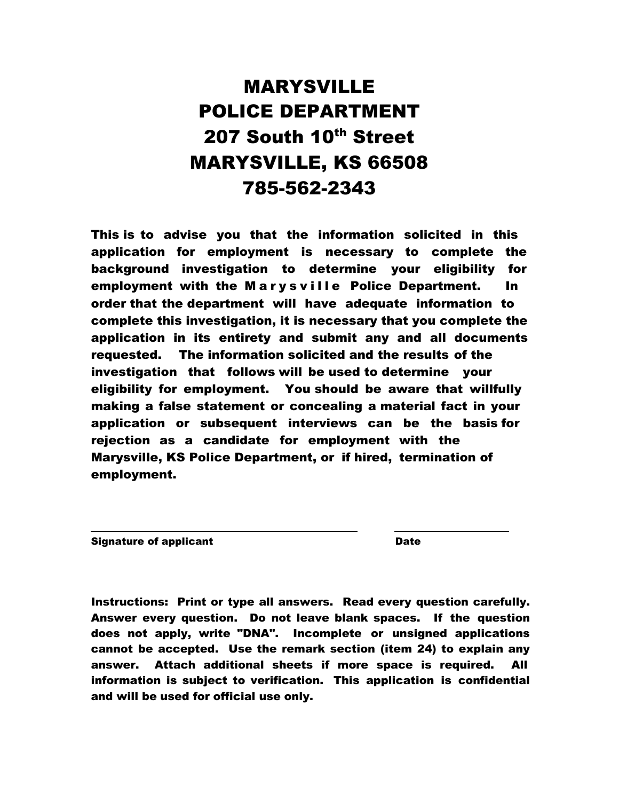# MARYSVILLE POLICE DEPARTMENT 207 South 10<sup>th</sup> Street MARYSVILLE, KS 66508 785-562-2343

This is to advise you that the information solicited in this application for employment is necessary to complete the background investigation to determine your eligibility for employment with the Marysville Police Department. In order that the department will have adequate information to complete this investigation, it is necessary that you complete the application in its entirety and submit any and all documents requested. The information solicited and the results of the investigation that follows will be used to determine your eligibility for employment. You should be aware that willfully making a false statement or concealing a material fact in your application or subsequent interviews can be the basis for rejection as a candidate for employment with the Marysville, KS Police Department, or if hired, termination of employment.

Signature of applicant Date Date

Instructions: Print or type all answers. Read every question carefully. Answer every question. Do not leave blank spaces. If the question does not apply, write "DNA". Incomplete or unsigned applications cannot be accepted. Use the remark section (item 24) to explain any answer. Attach additional sheets if more space is required. All information is subject to verification. This application is confidential and will be used for official use only.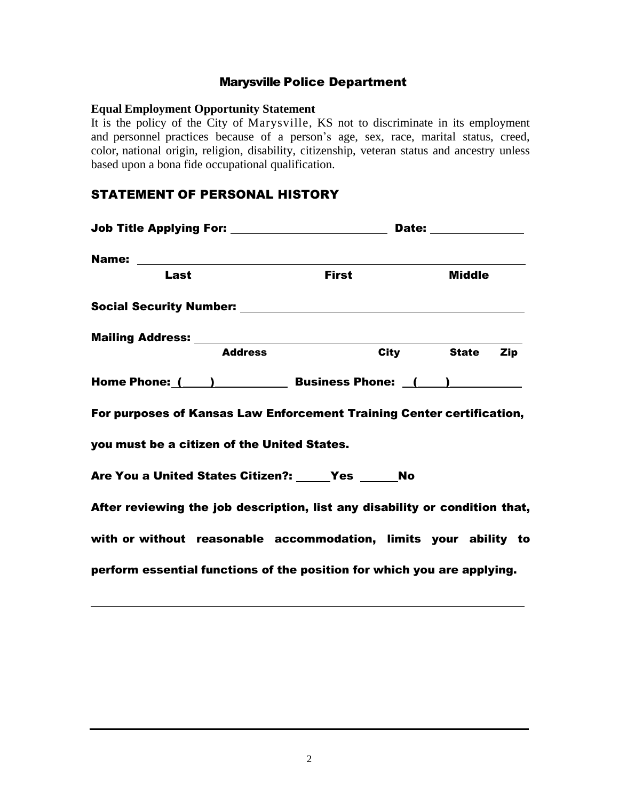## Marysville Police Department

#### **Equal Employment Opportunity Statement**

It is the policy of the City of Marysville, KS not to discriminate in its employment and personnel practices because of a person's age, sex, race, marital status, creed, color, national origin, religion, disability, citizenship, veteran status and ancestry unless based upon a bona fide occupational qualification.

## STATEMENT OF PERSONAL HISTORY

| <b>Job Title Applying For: \\cdot \\cdot \\cdot \\cdot \\cdot \\cdot \\cdot \\cdot \\cdot \\cdot \\cdot \\cdot \\cdot \\cdot \\cdot \\cdot \\cdot \\cdot \\cdot \\cdot \\cdot \\cdot \\cdot \\cdot \\cdot \\cdot \\cdot \\cdot \</b> |              | Date: ______________ |
|--------------------------------------------------------------------------------------------------------------------------------------------------------------------------------------------------------------------------------------|--------------|----------------------|
|                                                                                                                                                                                                                                      |              |                      |
| Last                                                                                                                                                                                                                                 | <b>First</b> | <b>Middle</b>        |
|                                                                                                                                                                                                                                      |              |                      |
|                                                                                                                                                                                                                                      |              |                      |
| <b>Address</b>                                                                                                                                                                                                                       |              | City State Zip       |
| Home Phone: ( ) Business Phone: ( )                                                                                                                                                                                                  |              |                      |
| For purposes of Kansas Law Enforcement Training Center certification,                                                                                                                                                                |              |                      |
| you must be a citizen of the United States.                                                                                                                                                                                          |              |                      |
| Are You a United States Citizen?: Yes No                                                                                                                                                                                             |              |                      |
| After reviewing the job description, list any disability or condition that,                                                                                                                                                          |              |                      |
| with or without reasonable accommodation, limits your ability to                                                                                                                                                                     |              |                      |
| perform essential functions of the position for which you are applying.                                                                                                                                                              |              |                      |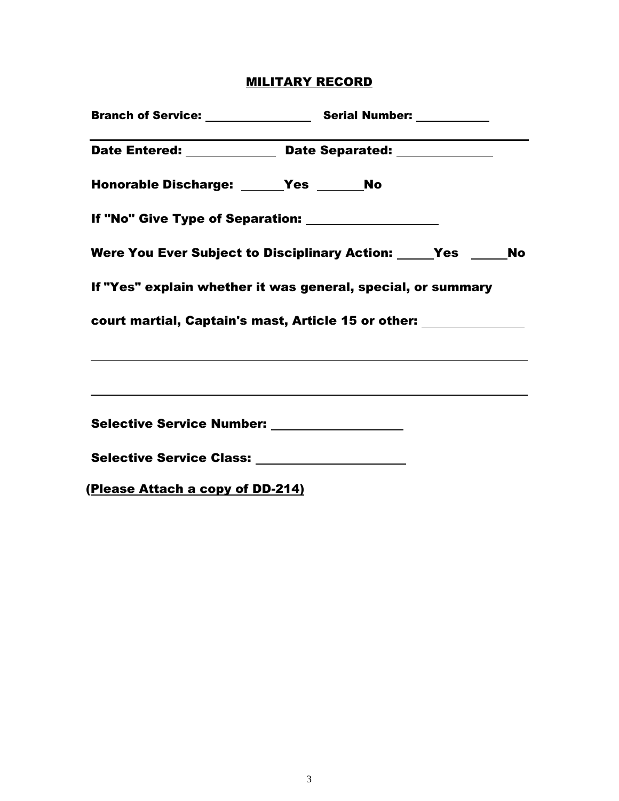# MILITARY RECORD

| Date Entered: ______________ Date Separated: _____________                       |  |  |  |
|----------------------------------------------------------------------------------|--|--|--|
| Honorable Discharge: ______Yes _______No                                         |  |  |  |
|                                                                                  |  |  |  |
| Were You Ever Subject to Disciplinary Action: Yes Mo                             |  |  |  |
| If "Yes" explain whether it was general, special, or summary                     |  |  |  |
| court martial, Captain's mast, Article 15 or other: ______________               |  |  |  |
| ,我们也不会有什么。""我们的人,我们也不会有什么?""我们的人,我们也不会有什么?""我们的人,我们也不会有什么?""我们的人,我们也不会有什么?""我们的人 |  |  |  |
|                                                                                  |  |  |  |
| Selective Service Number: ________________                                       |  |  |  |
| Selective Service Class: ____________________                                    |  |  |  |
| (Please Attach a copy of DD-214)                                                 |  |  |  |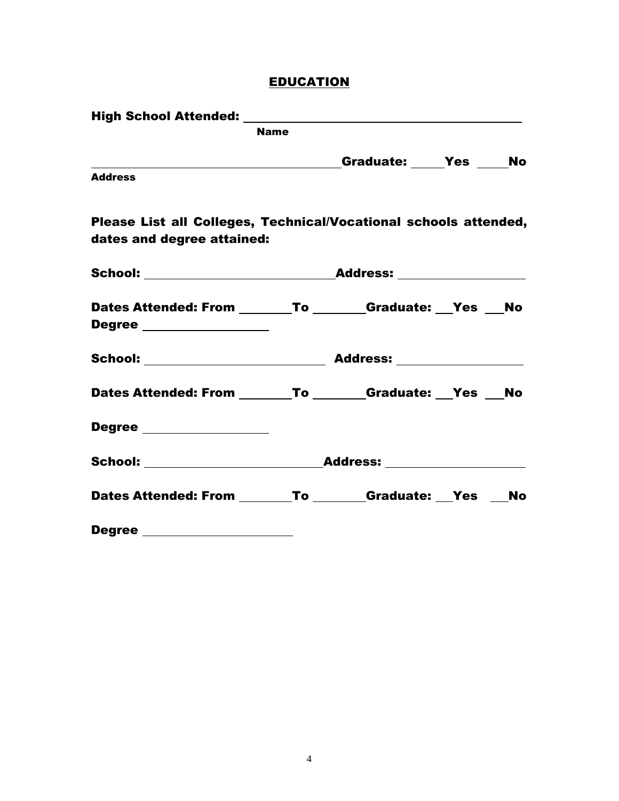# **EDUCATION**

|                                                                                       | <b>Name</b> |  |  |
|---------------------------------------------------------------------------------------|-------------|--|--|
|                                                                                       |             |  |  |
| <b>Address</b>                                                                        |             |  |  |
| Please List all Colleges, Technical/Vocational schools attended,                      |             |  |  |
| dates and degree attained:                                                            |             |  |  |
|                                                                                       |             |  |  |
| Dates Attended: From _______To _______Graduate: __Yes __No<br>Degree ________________ |             |  |  |
|                                                                                       |             |  |  |
| Dates Attended: From _______To _______Graduate: __Yes __No                            |             |  |  |
| Degree _________________                                                              |             |  |  |
|                                                                                       |             |  |  |
| Dates Attended: From _______To _______Graduate: __Yes __No                            |             |  |  |
| Degree ____________________                                                           |             |  |  |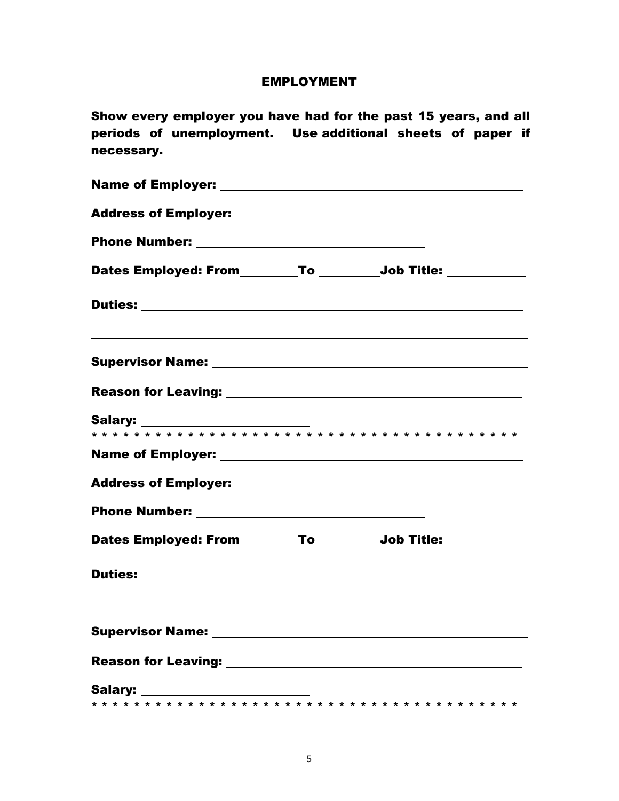## **EMPLOYMENT**

Show every employer you have had for the past 15 years, and all periods of unemployment. Use additional sheets of paper if necessary.

| Dates Employed: From________To _________Job Title: ___________                                                                                                                                                                      |  |
|-------------------------------------------------------------------------------------------------------------------------------------------------------------------------------------------------------------------------------------|--|
|                                                                                                                                                                                                                                     |  |
|                                                                                                                                                                                                                                     |  |
|                                                                                                                                                                                                                                     |  |
|                                                                                                                                                                                                                                     |  |
|                                                                                                                                                                                                                                     |  |
|                                                                                                                                                                                                                                     |  |
|                                                                                                                                                                                                                                     |  |
| Dates Employed: From________To _________Job Title: ___________                                                                                                                                                                      |  |
|                                                                                                                                                                                                                                     |  |
| ,我们也不会有什么。""我们的人,我们也不会有什么?""我们的人,我们也不会有什么?""我们的人,我们也不会有什么?""我们的人,我们也不会有什么?""我们的人<br><b>Supervisor Name:</b>                                                                                                                         |  |
| <b>Reason for Leaving:</b> the contract of the contract of the contract of the contract of the contract of the contract of the contract of the contract of the contract of the contract of the contract of the contract of the cont |  |
|                                                                                                                                                                                                                                     |  |
|                                                                                                                                                                                                                                     |  |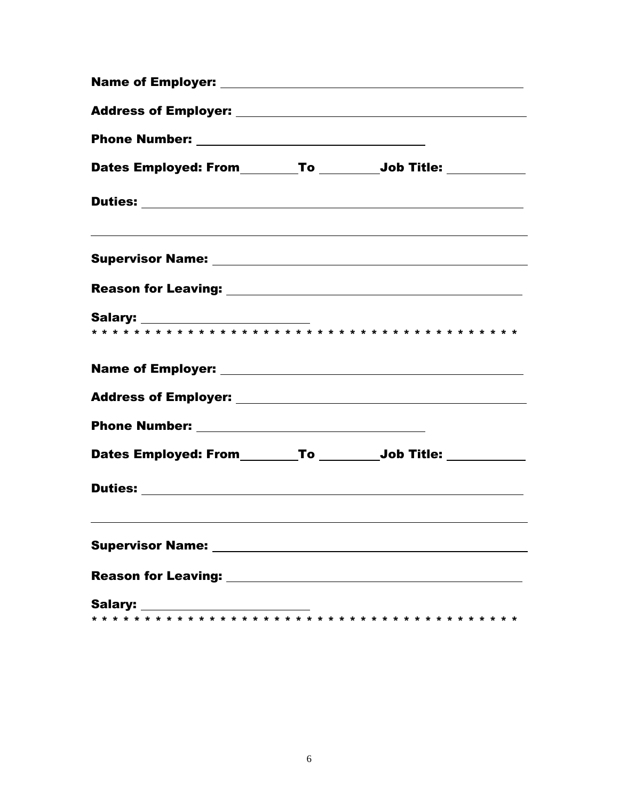| Dates Employed: From_________To _________Job Title: ___________                  |  |  |  |  |  |  |  |
|----------------------------------------------------------------------------------|--|--|--|--|--|--|--|
|                                                                                  |  |  |  |  |  |  |  |
| ,我们也不会有什么。""我们的人,我们也不会有什么?""我们的人,我们也不会有什么?""我们的人,我们也不会有什么?""我们的人,我们也不会有什么?""我们的人 |  |  |  |  |  |  |  |
|                                                                                  |  |  |  |  |  |  |  |
|                                                                                  |  |  |  |  |  |  |  |
|                                                                                  |  |  |  |  |  |  |  |
|                                                                                  |  |  |  |  |  |  |  |
|                                                                                  |  |  |  |  |  |  |  |
| Dates Employed: From________To _________Job Title: ___________                   |  |  |  |  |  |  |  |
|                                                                                  |  |  |  |  |  |  |  |
|                                                                                  |  |  |  |  |  |  |  |
|                                                                                  |  |  |  |  |  |  |  |
| Salary: ________________________                                                 |  |  |  |  |  |  |  |
|                                                                                  |  |  |  |  |  |  |  |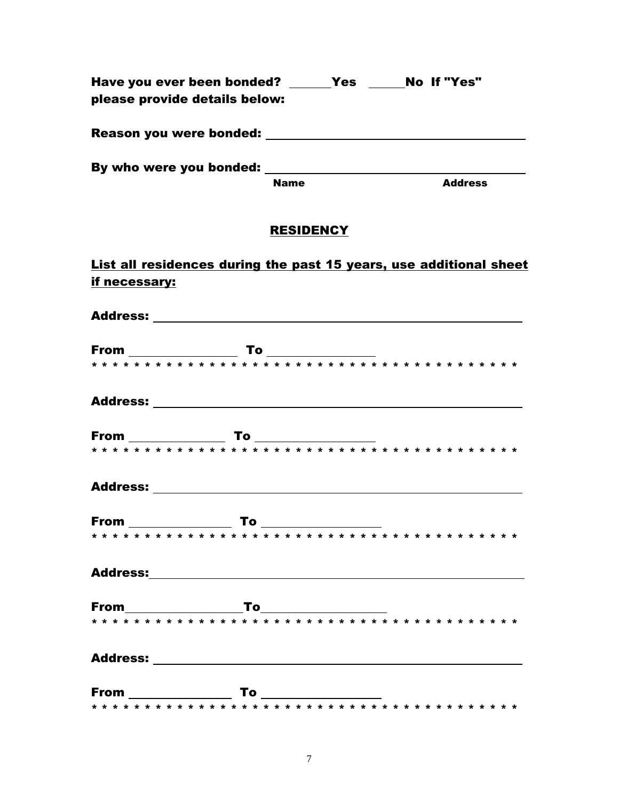| Have you ever been bonded?<br>please provide details below: | <b>Yes</b>  | No If "Yes"    |
|-------------------------------------------------------------|-------------|----------------|
| Reason you were bonded:                                     |             |                |
| By who were you bonded:                                     |             |                |
|                                                             | <b>Name</b> | <b>Address</b> |

# **RESIDENCY**

List all residences during the past 15 years, use additional sheet if necessary: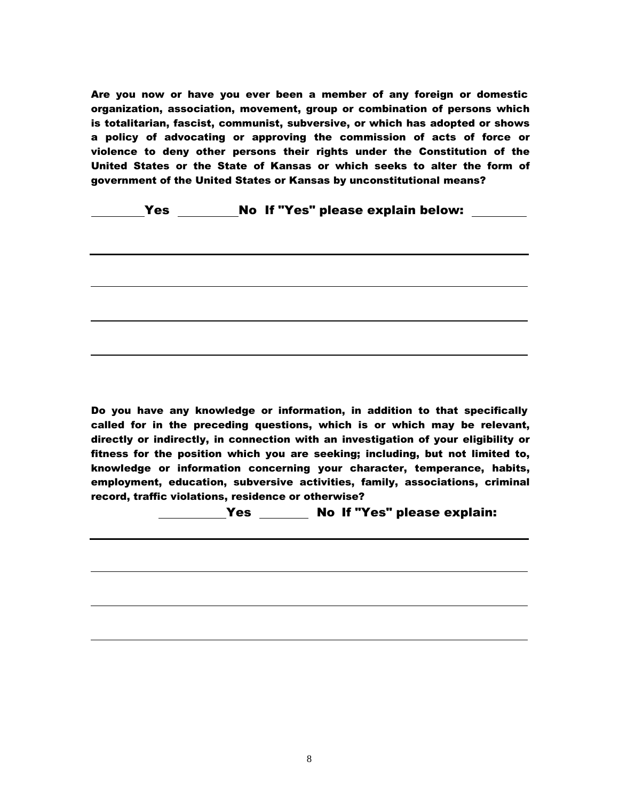Are you now or have you ever been a member of any foreign or domestic organization, association, movement, group or combination of persons which is totalitarian, fascist, communist, subversive, or which has adopted or shows a policy of advocating or approving the commission of acts of force or violence to deny other persons their rights under the Constitution of the United States or the State of Kansas or which seeks to alter the form of government of the United States or Kansas by unconstitutional means?

#### Yes No If "Yes" please explain below:

Do you have any knowledge or information, in addition to that specifically called for in the preceding questions, which is or which may be relevant, directly or indirectly, in connection with an investigation of your eligibility or fitness for the position which you are seeking; including, but not limited to, knowledge or information concerning your character, temperance, habits, employment, education, subversive activities, family, associations, criminal record, traffic violations, residence or otherwise?

Yes Mo If "Yes" please explain: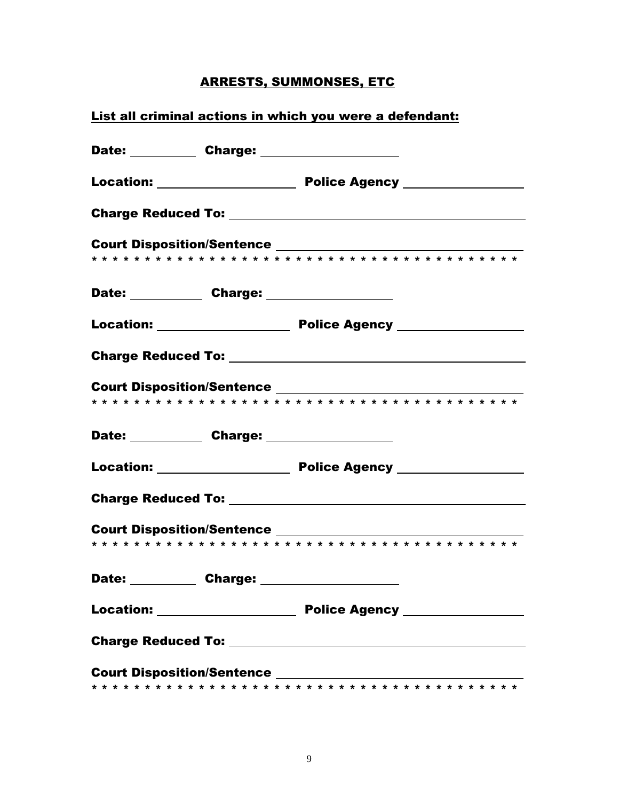# **ARRESTS, SUMMONSES, ETC**

# List all criminal actions in which you were a defendant:

| Date: Charge: 2000 |  |
|--------------------|--|
|                    |  |
|                    |  |
|                    |  |
| Date: Charge: 2000 |  |
|                    |  |
|                    |  |
|                    |  |
| Date: Charge: 2008 |  |
|                    |  |
|                    |  |
|                    |  |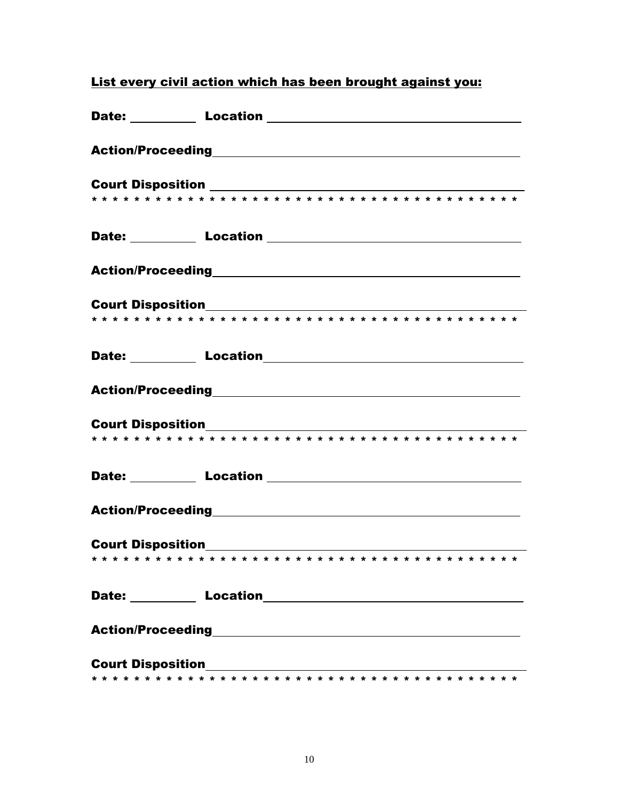| Date: <b>Location Location Letter Location Letter Letter Letter Letter Letter Letter Letter Letter Letter Letter Letter Letter Letter Letter Letter Letter Letter Letter Letter Le</b>                                           |
|----------------------------------------------------------------------------------------------------------------------------------------------------------------------------------------------------------------------------------|
|                                                                                                                                                                                                                                  |
|                                                                                                                                                                                                                                  |
|                                                                                                                                                                                                                                  |
| Date: <b>Location Location Letter Location Letter Letter Letter Letter Letter Letter Letter Letter</b>                                                                                                                           |
|                                                                                                                                                                                                                                  |
|                                                                                                                                                                                                                                  |
|                                                                                                                                                                                                                                  |
| Date: <b>Location</b> Location 2004                                                                                                                                                                                              |
|                                                                                                                                                                                                                                  |
|                                                                                                                                                                                                                                  |
| Date: Location <u>Location</u> Location <b>Date:</b> 2014                                                                                                                                                                        |
|                                                                                                                                                                                                                                  |
|                                                                                                                                                                                                                                  |
|                                                                                                                                                                                                                                  |
| Date: <b>Location</b> Location 2014                                                                                                                                                                                              |
| Action/Proceeding<br>expansion of the contract of the contract of the contract of the contract of the contract of the contract of the contract of the contract of the contract of the contract of the contract of the contract o |
|                                                                                                                                                                                                                                  |
|                                                                                                                                                                                                                                  |

#### List every civil action which has been brought against you: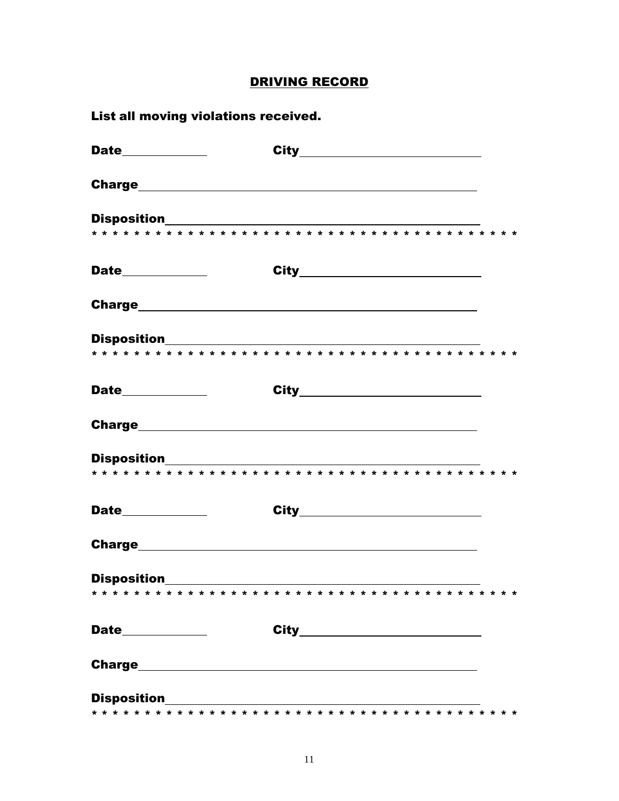# **DRIVING RECORD**

| List all moving violations received. |                                 |  |  |
|--------------------------------------|---------------------------------|--|--|
|                                      | City___________________________ |  |  |
|                                      |                                 |  |  |
|                                      |                                 |  |  |
|                                      |                                 |  |  |
|                                      | City___________________________ |  |  |
|                                      |                                 |  |  |
|                                      |                                 |  |  |
|                                      |                                 |  |  |
|                                      |                                 |  |  |
|                                      |                                 |  |  |
|                                      |                                 |  |  |
|                                      |                                 |  |  |
|                                      |                                 |  |  |
|                                      |                                 |  |  |
|                                      |                                 |  |  |
|                                      |                                 |  |  |
|                                      | City___________________________ |  |  |
|                                      |                                 |  |  |
|                                      |                                 |  |  |
|                                      |                                 |  |  |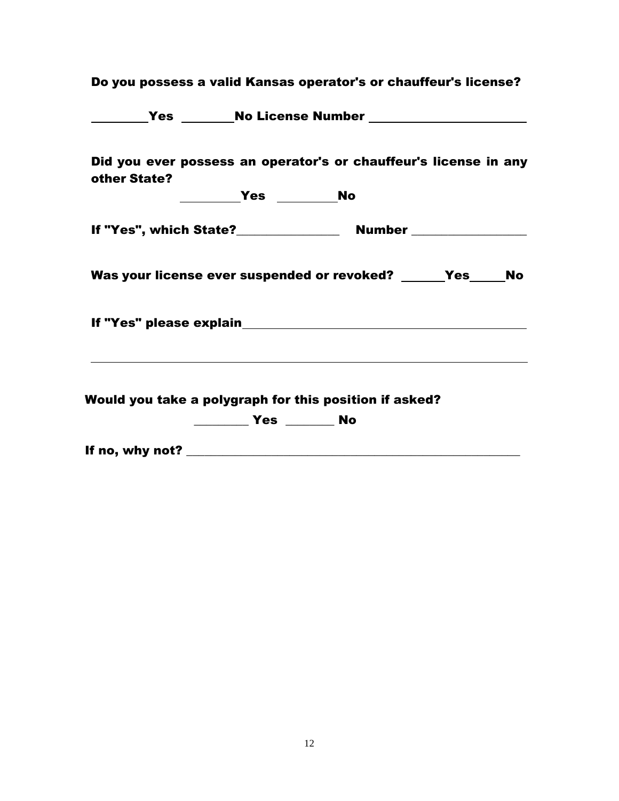| Did you ever possess an operator's or chauffeur's license in any<br>other State? |  |  |
|----------------------------------------------------------------------------------|--|--|
|                                                                                  |  |  |
|                                                                                  |  |  |
| Was your license ever suspended or revoked? _____Yes____No                       |  |  |
|                                                                                  |  |  |
| Would you take a polygraph for this position if asked?                           |  |  |
|                                                                                  |  |  |
|                                                                                  |  |  |